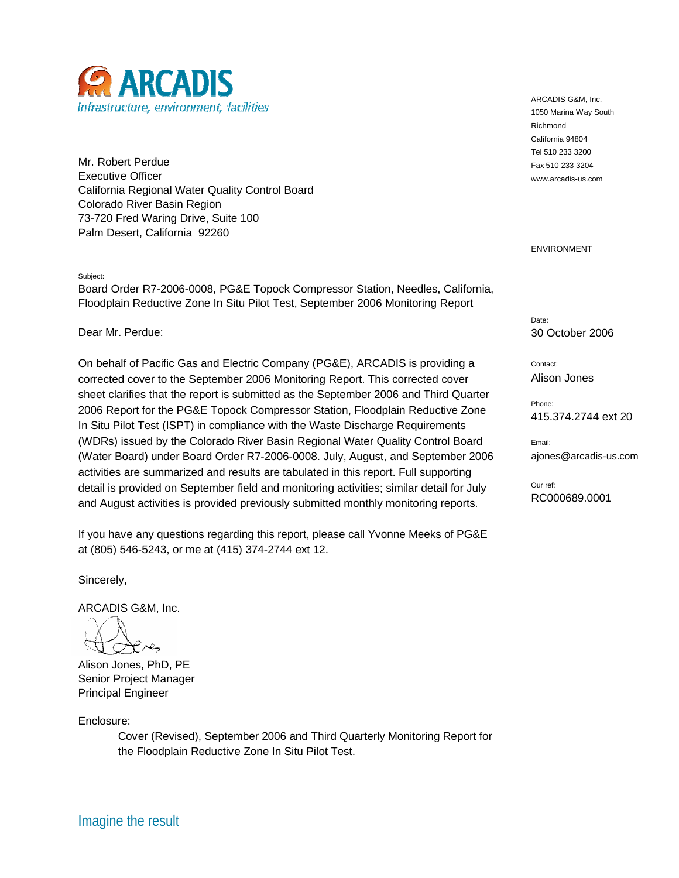

Mr. Robert Perdue Executive Officer California Regional Water Quality Control Board Colorado River Basin Region 73-720 Fred Waring Drive, Suite 100 Palm Desert, California 92260

## Subject:

Board Order R7-2006-0008, PG&E Topock Compressor Station, Needles, California, Floodplain Reductive Zone In Situ Pilot Test, September 2006 Monitoring Report

Dear Mr. Perdue:

On behalf of Pacific Gas and Electric Company (PG&E), ARCADIS is providing a corrected cover to the September 2006 Monitoring Report. This corrected cover sheet clarifies that the report is submitted as the September 2006 and Third Quarter 2006 Report for the PG&E Topock Compressor Station, Floodplain Reductive Zone In Situ Pilot Test (ISPT) in compliance with the Waste Discharge Requirements (WDRs) issued by the Colorado River Basin Regional Water Quality Control Board (Water Board) under Board Order R7-2006-0008. July, August, and September 2006 activities are summarized and results are tabulated in this report. Full supporting detail is provided on September field and monitoring activities; similar detail for July and August activities is provided previously submitted monthly monitoring reports.

If you have any questions regarding this report, please call Yvonne Meeks of PG&E at (805) 546-5243, or me at (415) 374-2744 ext 12.

Sincerely,

ARCADIS G&M, Inc.

وعبرهم

Alison Jones, PhD, PE Senior Project Manager Principal Engineer

Enclosure:

Cover (Revised), September 2006 and Third Quarterly Monitoring Report for the Floodplain Reductive Zone In Situ Pilot Test.

ARCADIS G&M, Inc. 1050 Marina Way South Richmond California 94804 Tel 510 233 3200 Fax 510 233 3204 www.arcadis-us.com

## ENVIRONMENT

Date: 30 October 2006

Contact: Alison Jones

Phone: 415.374.2744 ext 20

Email: ajones@arcadis-us.com

Our ref: RC000689.0001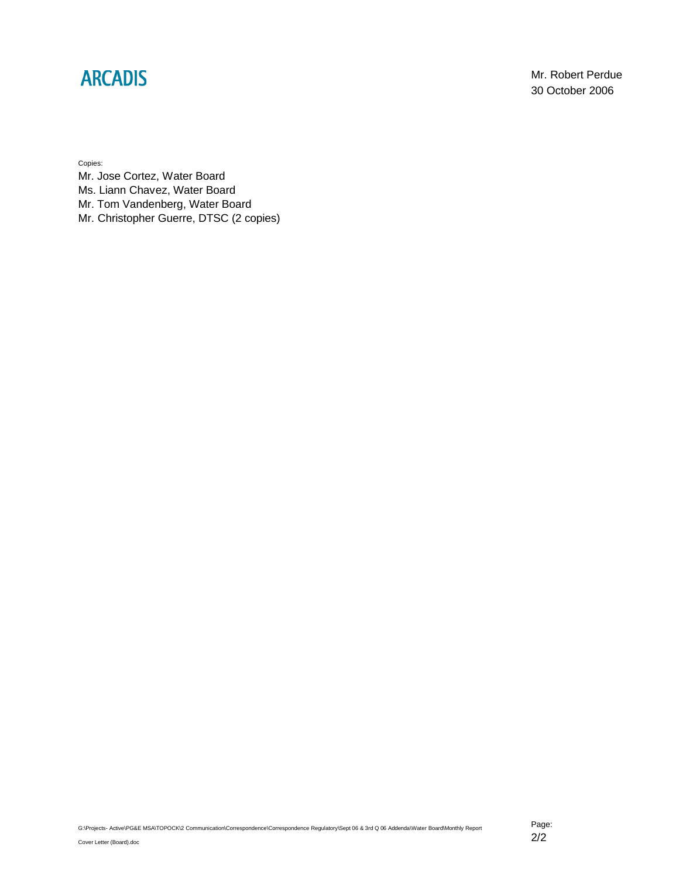## **ARCADIS**

Mr. Robert Perdue 30 October 2006

Copies:

Mr. Jose Cortez, Water Board Ms. Liann Chavez, Water Board Mr. Tom Vandenberg, Water Board Mr. Christopher Guerre, DTSC (2 copies)